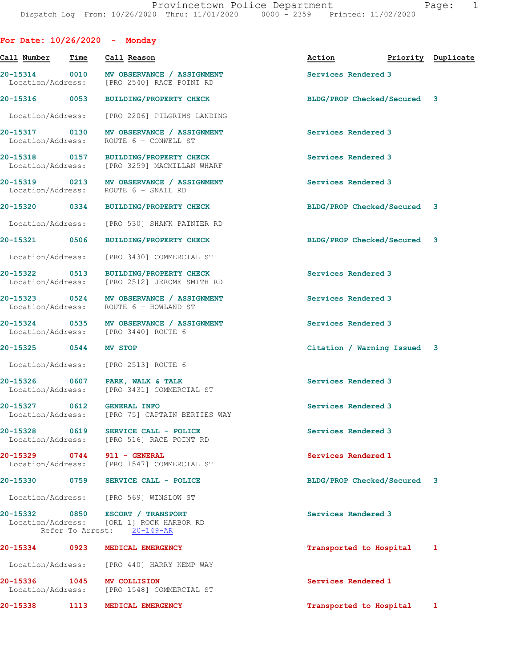| For Date: $10/26/2020 -$ Monday    |      |                                                                                    |                             |                    |
|------------------------------------|------|------------------------------------------------------------------------------------|-----------------------------|--------------------|
| Call Number                        | Time | Call Reason                                                                        | Action                      | Priority Duplicate |
| 20-15314<br>Location/Address:      | 0010 | MV OBSERVANCE / ASSIGNMENT<br>[PRO 2540] RACE POINT RD                             | Services Rendered 3         |                    |
| 20-15316 0053                      |      | BUILDING/PROPERTY CHECK                                                            | BLDG/PROP Checked/Secured 3 |                    |
| Location/Address:                  |      | [PRO 2206] PILGRIMS LANDING                                                        |                             |                    |
| 20-15317 0130<br>Location/Address: |      | MV OBSERVANCE / ASSIGNMENT<br>ROUTE 6 + CONWELL ST                                 | Services Rendered 3         |                    |
| 20-15318 0157                      |      | BUILDING/PROPERTY CHECK<br>Location/Address: [PRO 3259] MACMILLAN WHARF            | Services Rendered 3         |                    |
| 20-15319 0213<br>Location/Address: |      | MV OBSERVANCE / ASSIGNMENT<br>ROUTE 6 + SNAIL RD                                   | Services Rendered 3         |                    |
| 20-15320 0334                      |      | <b>BUILDING/PROPERTY CHECK</b>                                                     | BLDG/PROP Checked/Secured 3 |                    |
| Location/Address:                  |      | [PRO 530] SHANK PAINTER RD                                                         |                             |                    |
| 20-15321                           | 0506 | <b>BUILDING/PROPERTY CHECK</b>                                                     | BLDG/PROP Checked/Secured 3 |                    |
| Location/Address:                  |      | [PRO 3430] COMMERCIAL ST                                                           |                             |                    |
| 20-15322<br>Location/Address:      | 0513 | <b>BUILDING/PROPERTY CHECK</b><br>[PRO 2512] JEROME SMITH RD                       | Services Rendered 3         |                    |
|                                    |      | 20-15323 0524 MV OBSERVANCE / ASSIGNMENT<br>Location/Address: ROUTE 6 + HOWLAND ST | Services Rendered 3         |                    |
|                                    |      | 20-15324 0535 MV OBSERVANCE / ASSIGNMENT<br>Location/Address: [PRO 3440] ROUTE 6   | Services Rendered 3         |                    |
| 20-15325 0544                      |      | MV STOP                                                                            | Citation / Warning Issued 3 |                    |
| Location/Address:                  |      | [PRO 2513] ROUTE 6                                                                 |                             |                    |
|                                    |      | 20-15326 0607 PARK, WALK & TALK<br>Location/Address: [PRO 3431] COMMERCIAL ST      | Services Rendered 3         |                    |
| 20-15327                           | 0612 | <b>GENERAL INFO</b><br>Location/Address: [PRO 75] CAPTAIN BERTIES WAY              | Services Rendered 3         |                    |
| 20-15328                           | 0619 | SERVICE CALL - POLICE<br>Location/Address: [PRO 516] RACE POINT RD                 | Services Rendered 3         |                    |
| 20-15329                           |      | 0744 911 - GENERAL<br>Location/Address: [PRO 1547] COMMERCIAL ST                   | Services Rendered 1         |                    |
|                                    |      | 20-15330 0759 SERVICE CALL - POLICE                                                | BLDG/PROP Checked/Secured 3 |                    |
|                                    |      | Location/Address: [PRO 569] WINSLOW ST                                             |                             |                    |
| 20-15332<br>Location/Address:      |      | 0850 ESCORT / TRANSPORT<br>[ORL 1] ROCK HARBOR RD<br>Refer To Arrest: 20-149-AR    | Services Rendered 3         |                    |
| 20-15334                           | 0923 | MEDICAL EMERGENCY                                                                  | Transported to Hospital     | 1                  |
| Location/Address:                  |      | [PRO 440] HARRY KEMP WAY                                                           |                             |                    |
| 20-15336                           | 1045 | <b>MV COLLISION</b><br>Location/Address: [PRO 1548] COMMERCIAL ST                  | Services Rendered 1         |                    |
| 20-15338                           | 1113 | MEDICAL EMERGENCY                                                                  | Transported to Hospital     | 1                  |
|                                    |      |                                                                                    |                             |                    |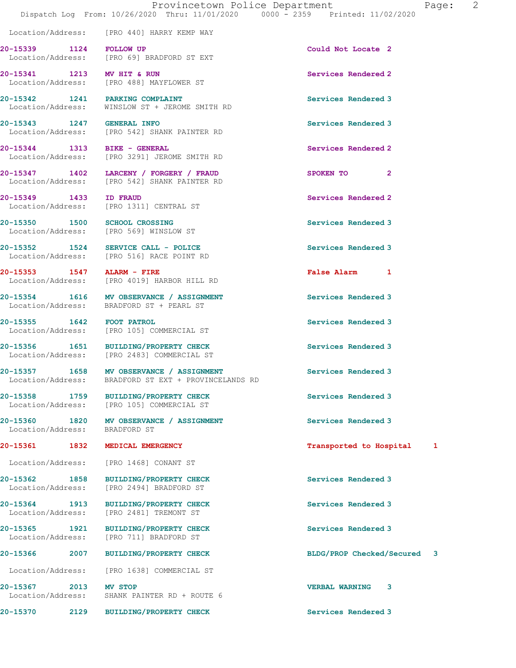Location/Address: [PRO 440] HARRY KEMP WAY 20-15339 1124 FOLLOW UP Could Not Locate 2 Location/Address: [PRO 69] BRADFORD ST EXT 20-15341 1213 MV HIT & RUN Services Rendered 2<br>
Location/Address: [PRO 488] MAYFLOWER ST [PRO 488] MAYFLOWER ST 20-15342 1241 PARKING COMPLAINT Services Rendered 3 Location/Address: WINSLOW ST + JEROME SMITH RD 20-15343 1247 GENERAL INFO Services Rendered 3 Location/Address: [PRO 542] SHANK PAINTER RD 20-15344 1313 BIKE - GENERAL Services Rendered 2 Location/Address: [PRO 3291] JEROME SMITH RD 20-15347 1402 LARCENY / FORGERY / FRAUD SPOKEN TO 2 Location/Address: [PRO 542] SHANK PAINTER RD 20-15349 1433 ID FRAUD Services Rendered 2 Location/Address: [PRO 1311] CENTRAL ST 20-15350 1500 SCHOOL CROSSING SERVICES Rendered 3 Location/Address: [PRO 569] WINSLOW ST 20-15352 1524 SERVICE CALL - POLICE Services Rendered 3 Location/Address: [PRO 516] RACE POINT RD 20-15353 1547 ALARM - FIRE **False Alarm** 1 Location/Address: [PRO 4019] HARBOR HILL RD 20-15354 1616 MV OBSERVANCE / ASSIGNMENT Services Rendered 3 Location/Address: BRADFORD ST + PEARL ST 20-15355 1642 FOOT PATROL Services Rendered 3 Location/Address: [PRO 105] COMMERCIAL ST 20-15356 1651 BUILDING/PROPERTY CHECK Services Rendered 3 Location/Address: [PRO 2483] COMMERCIAL ST 20-15357 1658 MV OBSERVANCE / ASSIGNMENT Services Rendered 3 Location/Address: BRADFORD ST EXT + PROVINCELANDS RD 20-15358 1759 BUILDING/PROPERTY CHECK Services Rendered 3 Location/Address: [PRO 105] COMMERCIAL ST 20-15360 1820 MV OBSERVANCE / ASSIGNMENT Services Rendered 3 Location/Address: BRADFORD ST 20-15361 1832 MEDICAL EMERGENCY **1832 1899 120 1** Transported to Hospital 1 Location/Address: [PRO 1468] CONANT ST 20-15362 1858 BUILDING/PROPERTY CHECK Services Rendered 3 Location/Address: [PRO 2494] BRADFORD ST 20-15364 1913 BUILDING/PROPERTY CHECK Services Rendered 3 Location/Address: [PRO 2481] TREMONT ST 20-15365 1921 BUILDING/PROPERTY CHECK Services Rendered 3<br>
Location/Address: [PRO 711] BRADFORD ST [PRO 711] BRADFORD ST 20-15366 2007 BUILDING/PROPERTY CHECK BLDG/PROP Checked/Secured 3 Location/Address: [PRO 1638] COMMERCIAL ST 20-15367 2013 MV STOP VERBAL WARNING 3 SHANK PAINTER RD + ROUTE 6 20-15370 2129 BUILDING/PROPERTY CHECK Services Rendered 3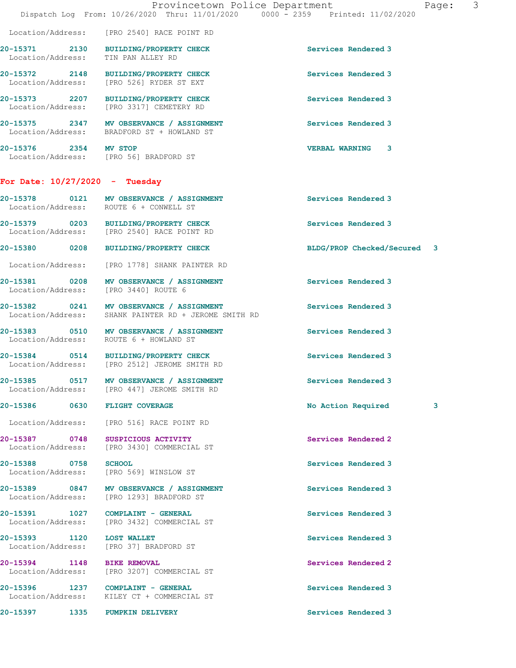|                                  | Dispatch Log From: 10/26/2020 Thru: 11/01/2020 0000 - 2359 Printed: 11/02/2020                   | 3<br>Provincetown Police Department<br>Page: |
|----------------------------------|--------------------------------------------------------------------------------------------------|----------------------------------------------|
|                                  | Location/Address: [PRO 2540] RACE POINT RD                                                       |                                              |
|                                  | 20-15371 2130 BUILDING/PROPERTY CHECK<br>Location/Address: TIN PAN ALLEY RD                      | Services Rendered 3                          |
|                                  | 20-15372 2148 BUILDING/PROPERTY CHECK<br>Location/Address: [PRO 526] RYDER ST EXT                | Services Rendered 3                          |
|                                  | 20-15373 2207 BUILDING/PROPERTY CHECK<br>Location/Address: [PRO 3317] CEMETERY RD                | Services Rendered 3                          |
|                                  | 20-15375 2347 MV OBSERVANCE / ASSIGNMENT<br>Location/Address: BRADFORD ST + HOWLAND ST           | Services Rendered 3                          |
| 20-15376 2354 MV STOP            | Location/Address: [PRO 56] BRADFORD ST                                                           | VERBAL WARNING 3                             |
| For Date: $10/27/2020 -$ Tuesday |                                                                                                  |                                              |
|                                  | 20-15378 0121 MV OBSERVANCE / ASSIGNMENT<br>Location/Address: ROUTE 6 + CONWELL ST               | Services Rendered 3                          |
|                                  | 20-15379 0203 BUILDING/PROPERTY CHECK<br>Location/Address: [PRO 2540] RACE POINT RD              | Services Rendered 3                          |
|                                  | 20-15380 0208 BUILDING/PROPERTY CHECK                                                            | BLDG/PROP Checked/Secured 3                  |
|                                  | Location/Address: [PRO 1778] SHANK PAINTER RD                                                    |                                              |
|                                  | 20-15381 0208 MV OBSERVANCE / ASSIGNMENT<br>Location/Address: [PRO 3440] ROUTE 6                 | Services Rendered 3                          |
|                                  | 20-15382 0241 MV OBSERVANCE / ASSIGNMENT<br>Location/Address: SHANK PAINTER RD + JEROME SMITH RD | Services Rendered 3                          |
|                                  |                                                                                                  | Services Rendered 3                          |
|                                  | 20-15384 0514 BUILDING/PROPERTY CHECK<br>Location/Address: [PRO 2512] JEROME SMITH RD            | Services Rendered 3                          |
|                                  | 20-15385 0517 MV OBSERVANCE / ASSIGNMENT<br>Location/Address: [PRO 447] JEROME SMITH RD          | Services Rendered 3                          |
|                                  | 20-15386 0630 FLIGHT COVERAGE                                                                    | 3<br>No Action Required                      |
|                                  | Location/Address: [PRO 516] RACE POINT RD                                                        |                                              |
| 20-15387 0748                    | SUSPICIOUS ACTIVITY<br>Location/Address: [PRO 3430] COMMERCIAL ST                                | Services Rendered 2                          |
| 20-15388 0758                    | <b>SCHOOL</b><br>Location/Address: [PRO 569] WINSLOW ST                                          | Services Rendered 3                          |
|                                  | 20-15389 0847 MV OBSERVANCE / ASSIGNMENT<br>Location/Address: [PRO 1293] BRADFORD ST             | Services Rendered 3                          |
|                                  | 20-15391 1027 COMPLAINT - GENERAL<br>Location/Address: [PRO 3432] COMMERCIAL ST                  | Services Rendered 3                          |
| 20-15393 1120 LOST WALLET        | Location/Address: [PRO 37] BRADFORD ST                                                           | Services Rendered 3                          |
| 20-15394 1148 BIKE REMOVAL       | Location/Address: [PRO 3207] COMMERCIAL ST                                                       | Services Rendered 2                          |
|                                  | 20-15396 1237 COMPLAINT - GENERAL<br>Location/Address: KILEY CT + COMMERCIAL ST                  | Services Rendered 3                          |
|                                  | 20-15397 1335 PUMPKIN DELIVERY                                                                   | Services Rendered 3                          |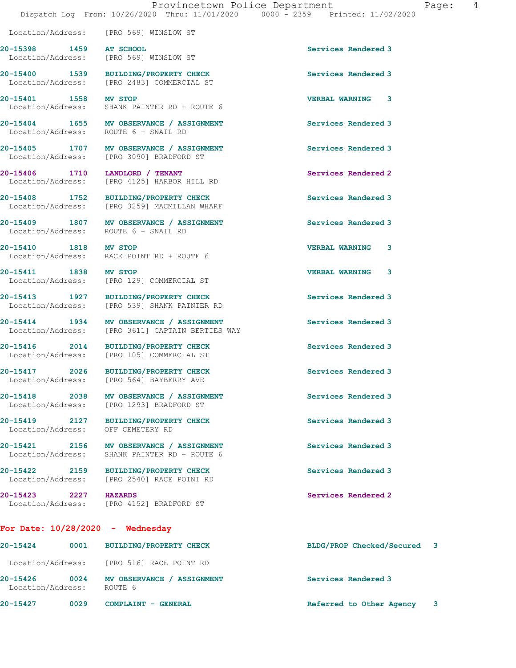|                                      | Location/Address: [PRO 569] WINSLOW ST                                              |                             |
|--------------------------------------|-------------------------------------------------------------------------------------|-----------------------------|
| 20-15398 1459                        | <b>AT SCHOOL</b><br>Location/Address: [PRO 569] WINSLOW ST                          | Services Rendered 3         |
|                                      | 20-15400 1539 BUILDING/PROPERTY CHECK<br>Location/Address: [PRO 2483] COMMERCIAL ST | Services Rendered 3         |
| 20-15401 1558 MV STOP                | Location/Address: SHANK PAINTER RD + ROUTE 6                                        | <b>VERBAL WARNING 3</b>     |
| Location/Address: ROUTE 6 + SNAIL RD | 20-15404 1655 MV OBSERVANCE / ASSIGNMENT                                            | Services Rendered 3         |
| Location/Address:                    | 20-15405 1707 MV OBSERVANCE / ASSIGNMENT<br>[PRO 3090] BRADFORD ST                  | Services Rendered 3         |
| 20-15406 1710<br>Location/Address:   | LANDLORD / TENANT<br>[PRO 4125] HARBOR HILL RD                                      | Services Rendered 2         |
| 20-15408 1752<br>Location/Address:   | <b>BUILDING/PROPERTY CHECK</b><br>[PRO 3259] MACMILLAN WHARF                        | Services Rendered 3         |
|                                      | 20-15409 1807 MV OBSERVANCE / ASSIGNMENT<br>Location/Address: ROUTE 6 + SNAIL RD    | Services Rendered 3         |
| 20-15410 1818 MV STOP                | Location/Address: RACE POINT RD + ROUTE 6                                           | <b>VERBAL WARNING</b><br>3  |
| 20-15411 1838 MV STOP                | Location/Address: [PRO 129] COMMERCIAL ST                                           | <b>VERBAL WARNING</b><br>3  |
| 20-15413 1927<br>Location/Address:   | BUILDING/PROPERTY CHECK<br>[PRO 539] SHANK PAINTER RD                               | Services Rendered 3         |
| 20-15414 1934<br>Location/Address:   | MV OBSERVANCE / ASSIGNMENT<br>[PRO 3611] CAPTAIN BERTIES WAY                        | Services Rendered 3         |
| Location/Address:                    | 20-15416 2014 BUILDING/PROPERTY CHECK<br>[PRO 105] COMMERCIAL ST                    | Services Rendered 3         |
|                                      | 20-15417 2026 BUILDING/PROPERTY CHECK<br>Location/Address: [PRO 564] BAYBERRY AVE   | Services Rendered 3         |
| 2038<br>20-15418                     | MV OBSERVANCE / ASSIGNMENT<br>Location/Address: [PRO 1293] BRADFORD ST              | Services Rendered 3         |
| Location/Address:                    | 20-15419 2127 BUILDING/PROPERTY CHECK<br>OFF CEMETERY RD                            | Services Rendered 3         |
| 20-15421 2156<br>Location/Address:   | MV OBSERVANCE / ASSIGNMENT<br>SHANK PAINTER RD + ROUTE 6                            | Services Rendered 3         |
|                                      | 20-15422 2159 BUILDING/PROPERTY CHECK<br>Location/Address: [PRO 2540] RACE POINT RD | Services Rendered 3         |
| 20-15423 2227 HAZARDS                | Location/Address: [PRO 4152] BRADFORD ST                                            | Services Rendered 2         |
| For Date: $10/28/2020 -$ Wednesday   |                                                                                     |                             |
| 20-15424<br>0001                     | <b>BUILDING/PROPERTY CHECK</b>                                                      | BLDG/PROP Checked/Secured 3 |
|                                      | Location/Address: [PRO 516] RACE POINT RD                                           |                             |
| Location/Address:                    | 20-15426 0024 MV OBSERVANCE / ASSIGNMENT<br>ROUTE 6                                 | Services Rendered 3         |

20-15427 0029 COMPLAINT - GENERAL **Referred** to Other Agency 3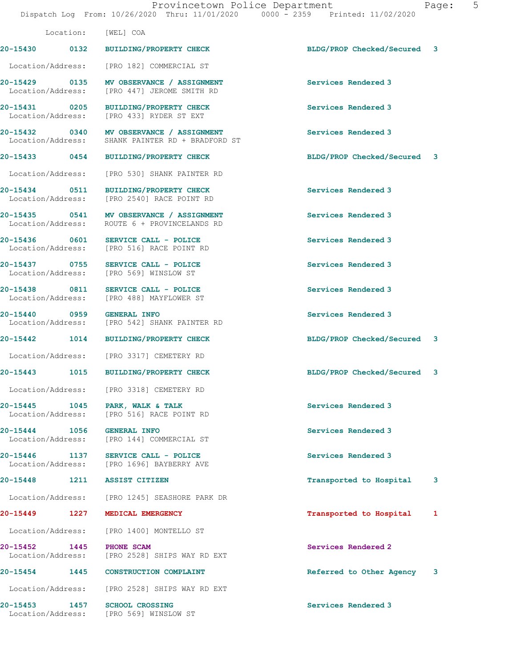Location: [WEL] COA 20-15430 0132 BUILDING/PROPERTY CHECK BLDG/PROP Checked/Secured 3 Location/Address: [PRO 182] COMMERCIAL ST 20-15429 0135 MV OBSERVANCE / ASSIGNMENT Services Rendered 3 Location/Address: [PRO 447] JEROME SMITH RD 20-15431 0205 BUILDING/PROPERTY CHECK Services Rendered 3 Location/Address: [PRO 433] RYDER ST EXT 20-15432 0340 MV OBSERVANCE / ASSIGNMENT Services Rendered 3 Location/Address: SHANK PAINTER RD + BRADFORD ST 20-15433 0454 BUILDING/PROPERTY CHECK BLDG/PROP Checked/Secured 3 Location/Address: [PRO 530] SHANK PAINTER RD 20-15434 0511 BUILDING/PROPERTY CHECK Services Rendered 3 Location/Address: [PRO 2540] RACE POINT RD 20-15435 0541 MV OBSERVANCE / ASSIGNMENT Services Rendered 3 Location/Address: ROUTE 6 + PROVINCELANDS RD 20-15436 0601 SERVICE CALL - POLICE 2001 SERVICE 3 Services Rendered 3<br>
Location/Address: [PRO 516] RACE POINT RD [PRO 516] RACE POINT RD 20-15437 0755 SERVICE CALL - POLICE Services Rendered 3 Location/Address: [PRO 569] WINSLOW ST 20-15438 0811 SERVICE CALL - POLICE Services Rendered 3 Location/Address: [PRO 488] MAYFLOWER ST 20-15440 0959 GENERAL INFO Services Rendered 3 Location/Address: [PRO 542] SHANK PAINTER RD 20-15442 1014 BUILDING/PROPERTY CHECK BLDG/PROP Checked/Secured 3 Location/Address: [PRO 3317] CEMETERY RD 20-15443 1015 BUILDING/PROPERTY CHECK BLDG/PROP Checked/Secured 3 Location/Address: [PRO 3318] CEMETERY RD 20-15445 1045 PARK, WALK & TALK SERVICES Rendered 3 Location/Address: [PRO 516] RACE POINT RD 20-15444 1056 GENERAL INFO<br>
Location/Address: [PRO 144] COMMERCIAL ST [PRO 144] COMMERCIAL ST 20-15446 1137 SERVICE CALL - POLICE 15446 Services Rendered 3<br>
Location/Address: [PRO 1696] BAYBERRY AVE [PRO 1696] BAYBERRY AVE 20-15448 1211 ASSIST CITIZEN Transported to Hospital 3 Location/Address: [PRO 1245] SEASHORE PARK DR 20-15449 1227 MEDICAL EMERGENCY Transported to Hospital 1 Location/Address: [PRO 1400] MONTELLO ST 20-15452 1445 PHONE SCAM Services Rendered 2 Location/Address: [PRO 2528] SHIPS WAY RD EXT 20-15454 1445 CONSTRUCTION COMPLAINT Referred to Other Agency 3 Location/Address: [PRO 2528] SHIPS WAY RD EXT

20-15453 1457 SCHOOL CROSSING Services Rendered 3 Location/Address: [PRO 569] WINSLOW ST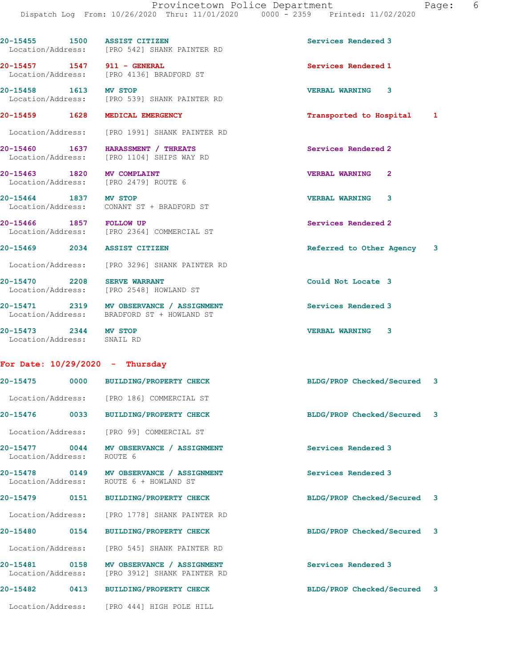20-15455 1500 ASSIST CITIZEN Services Rendered 3

 Location/Address: [PRO 4136] BRADFORD ST 20-15458 1613 MV STOP VERBAL WARNING 3 Location/Address: [PRO 539] SHANK PAINTER RD 20-15459 1628 MEDICAL EMERGENCY Transported to Hospital 1 Location/Address: [PRO 1991] SHANK PAINTER RD 20-15460 1637 HARASSMENT / THREATS Services Rendered 2 Location/Address: [PRO 1104] SHIPS WAY RD 20-15463 1820 MV COMPLAINT VERBAL WARNING 2 Location/Address: [PRO 2479] ROUTE 6 20-15464 1837 MV STOP VERBAL WARNING 3 Location/Address: CONANT ST + BRADFORD ST 20-15466 1857 FOLLOW UP <br>
Location/Address: [PRO 2364] COMMERCIAL ST [PRO 2364] COMMERCIAL ST 20-15469 2034 ASSIST CITIZEN Referred to Other Agency 3 Location/Address: [PRO 3296] SHANK PAINTER RD 20-15470 2208 SERVE WARRANT 20-15470 Could Not Locate 3 Location/Address: [PRO 2548] HOWLAND ST 20-15471 2319 MV OBSERVANCE / ASSIGNMENT Services Rendered 3 20-15473 2344 MV STOP VERBAL WARNING 3 20-15475 0000 BUILDING/PROPERTY CHECK BLDG/PROP Checked/Secured 3 Location/Address: [PRO 186] COMMERCIAL ST 20-15476 0033 BUILDING/PROPERTY CHECK BLDG/PROP Checked/Secured 3 Location/Address: [PRO 99] COMMERCIAL ST 20-15477 0044 MV OBSERVANCE / ASSIGNMENT Services Rendered 3 Location/Address: ROUTE 6

20-15479 0151 BUILDING/PROPERTY CHECK BLDG/PROP Checked/Secured 3 Location/Address: [PRO 1778] SHANK PAINTER RD 20-15480 0154 BUILDING/PROPERTY CHECK BLDG/PROP Checked/Secured 3 Location/Address: [PRO 545] SHANK PAINTER RD 20-15481 0158 MV OBSERVANCE / ASSIGNMENT Services Rendered 3 Location/Address: [PRO 3912] SHANK PAINTER RD 20-15482 0413 BUILDING/PROPERTY CHECK BLDG/PROP Checked/Secured 3

Location/Address: BRADFORD ST + HOWLAND ST

Location/Address: [PRO 542] SHANK PAINTER RD

Location/Address: SNAIL RD

For Date: 10/29/2020 - Thursday

20-15478 0149 MV OBSERVANCE / ASSIGNMENT Services Rendered 3 ROUTE 6 + HOWLAND ST

Location/Address: [PRO 444] HIGH POLE HILL

20-15457 1547 911 - GENERAL Services Rendered 1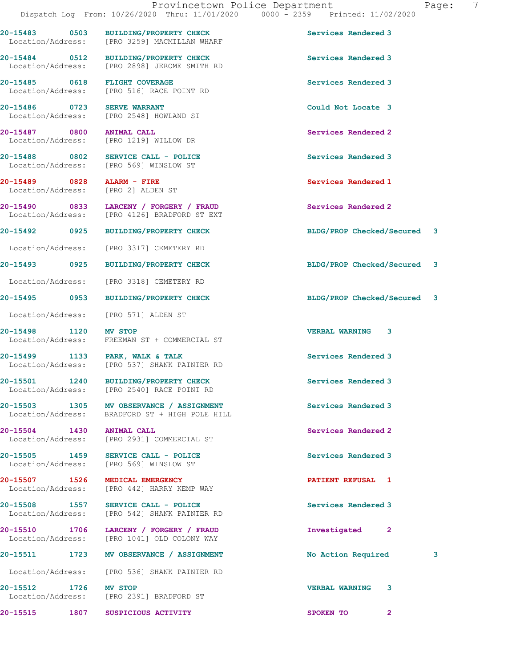Location/Address: [PRO 569] WINSLOW ST

20-15489 0828 ALARM - FIRE Services Rendered 1 Location/Address:

Location/Address: [PRO 536] SHANK PAINTER RD

20-15483 0503 BUILDING/PROPERTY CHECK Services Rendered 3 Location/Address: [PRO 3259] MACMILLAN WHARF

20-15484 0512 BUILDING/PROPERTY CHECK Services Rendered 3 Location/Address: [PRO 2898] JEROME SMITH RD

20-15485 0618 FLIGHT COVERAGE Services Rendered 3 Location/Address: [PRO 516] RACE POINT RD

20-15486 0723 SERVE WARRANT Could Not Locate 3 Location/Address: [PRO 2548] HOWLAND ST

20-15487 0800 ANIMAL CALL Services Rendered 2 Location/Address: [PRO 1219] WILLOW DR

20-15488 0802 SERVICE CALL - POLICE Services Rendered 3

20-15490 0833 LARCENY / FORGERY / FRAUD Services Rendered 2 Location/Address: [PRO 4126] BRADFORD ST EXT

Location/Address: [PRO 3317] CEMETERY RD

Location/Address: [PRO 3318] CEMETERY RD

Location/Address: [PRO 571] ALDEN ST

20-15498 1120 MV STOP VERBAL WARNING 3 Location/Address: FREEMAN ST + COMMERCIAL ST

20-15499 1133 PARK, WALK & TALK Services Rendered 3 Location/Address: [PRO 537] SHANK PAINTER RD

20-15501 1240 BUILDING/PROPERTY CHECK Services Rendered 3 Location/Address: [PRO 2540] RACE POINT RD

20-15503 1305 MV OBSERVANCE / ASSIGNMENT Services Rendered 3 Location/Address: BRADFORD ST + HIGH POLE HILL

20-15504 1430 ANIMAL CALL **Services Rendered** 2 Location/Address: [PRO 2931] COMMERCIAL ST

20-15505 1459 SERVICE CALL - POLICE Services Rendered 3 Location/Address: [PRO 569] WINSLOW ST

20-15507 1526 MEDICAL EMERGENCY PATIENT REFUSAL 1 [PRO 442] HARRY KEMP WAY

20-15508 1557 SERVICE CALL - POLICE Services Rendered 3 Location/Address: [PRO 542] SHANK PAINTER RD

20-15510 1706 LARCENY / FORGERY / FRAUD Investigated 2 Location/Address: [PRO 1041] OLD COLONY WAY

20-15511 1723 MV OBSERVANCE / ASSIGNMENT No Action Required 3

Location/Address: [PRO 2391] BRADFORD ST

20-15492 0925 BUILDING/PROPERTY CHECK BLDG/PROP Checked/Secured 3

20-15493 0925 BUILDING/PROPERTY CHECK BLDG/PROP Checked/Secured 3

20-15495 0953 BUILDING/PROPERTY CHECK BLDG/PROP Checked/Secured 3

20-15512 1726 MV STOP VERBAL WARNING 3

20-15515 1807 SUSPICIOUS ACTIVITY 1807 SPOKEN TO 2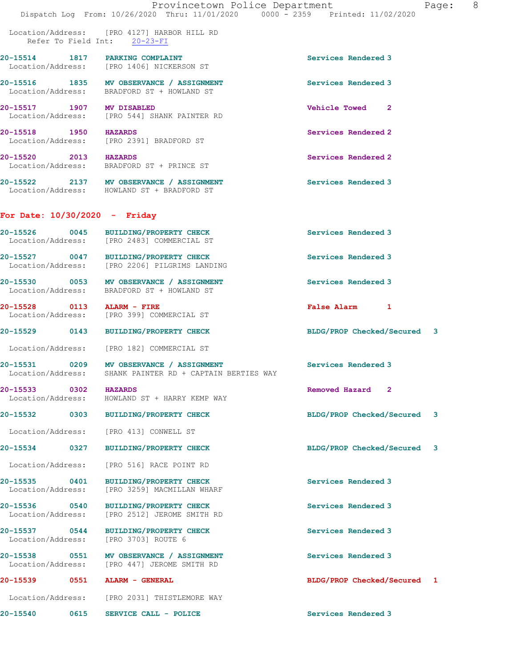|                                            |      | Provincetown Police Department<br>Dispatch Log From: 10/26/2020 Thru: 11/01/2020 0000 - 2359 Printed: 11/02/2020 |                                | Page: 8 |
|--------------------------------------------|------|------------------------------------------------------------------------------------------------------------------|--------------------------------|---------|
|                                            |      | Location/Address: [PRO 4127] HARBOR HILL RD<br>Refer To Field Int: 20-23-FI                                      |                                |         |
|                                            |      | 20-15514 1817 PARKING COMPLAINT<br>Location/Address: [PRO 1406] NICKERSON ST                                     | Services Rendered 3            |         |
|                                            |      | 20-15516 1835 MV OBSERVANCE / ASSIGNMENT<br>Location/Address: BRADFORD ST + HOWLAND ST                           | Services Rendered 3            |         |
| 20-15517 1907 MV DISABLED                  |      | Location/Address: [PRO 544] SHANK PAINTER RD                                                                     | Vehicle Towed 2                |         |
| 20-15518 1950 HAZARDS                      |      | Location/Address: [PRO 2391] BRADFORD ST                                                                         | Services Rendered 2            |         |
| 20-15520 2013 HAZARDS                      |      | Location/Address: BRADFORD ST + PRINCE ST                                                                        | Services Rendered 2            |         |
|                                            |      | 20-15522 2137 MV OBSERVANCE / ASSIGNMENT<br>Location/Address: HOWLAND ST + BRADFORD ST                           | Services Rendered 3            |         |
| For Date: $10/30/2020 -$ Friday            |      |                                                                                                                  |                                |         |
|                                            |      | 20-15526 0045 BUILDING/PROPERTY CHECK<br>Location/Address: [PRO 2483] COMMERCIAL ST                              | Services Rendered 3            |         |
|                                            |      | 20-15527 0047 BUILDING/PROPERTY CHECK<br>Location/Address: [PRO 2206] PILGRIMS LANDING                           | Services Rendered 3            |         |
|                                            |      | 20-15530 0053 MV OBSERVANCE / ASSIGNMENT<br>Location/Address: BRADFORD ST + HOWLAND ST                           | Services Rendered 3            |         |
| 20-15528 0113 ALARM - FIRE                 |      | Location/Address: [PRO 399] COMMERCIAL ST                                                                        | False Alarm 1                  |         |
|                                            |      | 20-15529 0143 BUILDING/PROPERTY CHECK                                                                            | BLDG/PROP Checked/Secured 3    |         |
|                                            |      | Location/Address: [PRO 182] COMMERCIAL ST                                                                        |                                |         |
|                                            |      | 20-15531 0209 MV OBSERVANCE / ASSIGNMENT<br>Location/Address: SHANK PAINTER RD + CAPTAIN BERTIES WAY             | Services Rendered 3            |         |
| 20-15533 0302 HAZARDS<br>Location/Address: |      | HOWLAND ST + HARRY KEMP WAY                                                                                      | Removed Hazard<br>$\mathbf{2}$ |         |
|                                            |      | 20-15532 0303 BUILDING/PROPERTY CHECK                                                                            | BLDG/PROP Checked/Secured 3    |         |
|                                            |      | Location/Address: [PRO 413] CONWELL ST                                                                           |                                |         |
| 20-15534 0327                              |      | <b>BUILDING/PROPERTY CHECK</b>                                                                                   | BLDG/PROP Checked/Secured 3    |         |
| Location/Address:                          |      | [PRO 516] RACE POINT RD                                                                                          |                                |         |
| 20-15535 0401<br>Location/Address:         |      | <b>BUILDING/PROPERTY CHECK</b><br>[PRO 3259] MACMILLAN WHARF                                                     | Services Rendered 3            |         |
| 20-15536 0540<br>Location/Address:         |      | BUILDING/PROPERTY CHECK<br>[PRO 2512] JEROME SMITH RD                                                            | Services Rendered 3            |         |
| Location/Address:                          |      | 20-15537 0544 BUILDING/PROPERTY CHECK<br>[PRO 3703] ROUTE 6                                                      | Services Rendered 3            |         |
|                                            |      | 20-15538 0551 MV OBSERVANCE / ASSIGNMENT<br>Location/Address: [PRO 447] JEROME SMITH RD                          | Services Rendered 3            |         |
| 20-15539                                   | 0551 | ALARM - GENERAL                                                                                                  | BLDG/PROP Checked/Secured 1    |         |
|                                            |      | Location/Address: [PRO 2031] THISTLEMORE WAY                                                                     |                                |         |
| <b>20-15540</b>                            |      | 0615 SERVICE CALL - POLICE                                                                                       | Services Rendered 3            |         |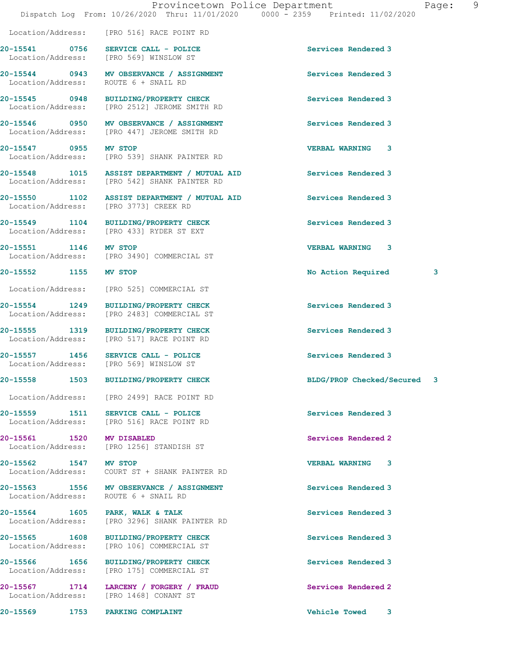Location/Address: [PRO 516] RACE POINT RD

20-15541 0756 SERVICE CALL - POLICE 3 Location/Address: [PRO 569] WINSLOW ST

Location/Address: [PRO 433] RYDER ST EXT

20-15559 1511 SERVICE CALL - POLICE Services Rendered 3

Location/Address: ROUTE 6 + SNAIL RD

20-15544 0943 MV OBSERVANCE / ASSIGNMENT Services Rendered 3 Location/Address: ROUTE 6 + SNAIL RD

20-15545 0948 BUILDING/PROPERTY CHECK Services Rendered 3 Location/Address: [PRO 2512] JEROME SMITH RD

20-15546 0950 MV OBSERVANCE / ASSIGNMENT Services Rendered 3<br>
Location/Address: [PRO 447] JEROME SMITH RD Location/Address: [PRO 447] JEROME SMITH RD

20-15547 0955 MV STOP VERBAL WARNING 3 Location/Address: [PRO 539] SHANK PAINTER RD

20-15548 1015 ASSIST DEPARTMENT / MUTUAL AID Services Rendered 3 Location/Address: [PRO 542] SHANK PAINTER RD

20-15550 1102 ASSIST DEPARTMENT / MUTUAL AID Services Rendered 3 Location/Address: [PRO 3773] CREEK RD

20-15549 1104 BUILDING/PROPERTY CHECK Services Rendered 3

20-15551 1146 MV STOP VERBAL WARNING 3 Location/Address: [PRO 3490] COMMERCIAL ST

Location/Address: [PRO 525] COMMERCIAL ST

20-15554 1249 BUILDING/PROPERTY CHECK Services Rendered 3<br>
Location/Address: [PRO 2483] COMMERCIAL ST [PRO 2483] COMMERCIAL ST

20-15555 1319 BUILDING/PROPERTY CHECK Services Rendered 3 Location/Address: [PRO 517] RACE POINT RD

20-15557 1456 SERVICE CALL - POLICE Services Rendered 3 Location/Address: [PRO 569] WINSLOW ST

Location/Address: [PRO 2499] RACE POINT RD

Location/Address: [PRO 516] RACE POINT RD

20-15561 1520 MV DISABLED Services Rendered 2 Location/Address: [PRO 1256] STANDISH ST

20-15562 1547 MV STOP 120-15562 1547 MV STOP 120-15562 VERBAL WARNING 3 COURT ST + SHANK PAINTER RD

20-15563 1556 MV OBSERVANCE / ASSIGNMENT Services Rendered 3

20-15564 1605 PARK, WALK & TALK Services Rendered 3 Location/Address: [PRO 3296] SHANK PAINTER RD

20-15565 1608 BUILDING/PROPERTY CHECK Services Rendered 3 Location/Address: [PRO 106] COMMERCIAL ST

20-15566 1656 BUILDING/PROPERTY CHECK Services Rendered 3 Location/Address: [PRO 175] COMMERCIAL ST

20-15567 1714 LARCENY / FORGERY / FRAUD Services Rendered 2 Location/Address: [PRO 1468] CONANT ST

20-15569 1753 PARKING COMPLAINT Vehicle Towed 3

20-15552 1155 MV STOP 1200 2001 No Action Required 3

20-15558 1503 BUILDING/PROPERTY CHECK BLDG/PROP Checked/Secured 3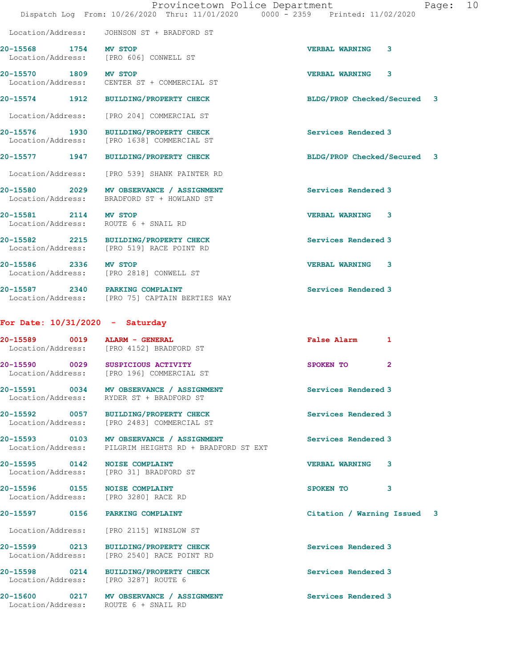|                       | Provincetown Police Department<br>Dispatch Log From: 10/26/2020 Thru: 11/01/2020 0000 - 2359 Printed: 11/02/2020 |                             | Page: | 10 |
|-----------------------|------------------------------------------------------------------------------------------------------------------|-----------------------------|-------|----|
|                       | Location/Address: JOHNSON ST + BRADFORD ST                                                                       |                             |       |    |
| 20-15568 1754 MV STOP | Location/Address: [PRO 606] CONWELL ST                                                                           | <b>VERBAL WARNING</b><br>3  |       |    |
| 20-15570 1809 MV STOP | Location/Address: CENTER ST + COMMERCIAL ST                                                                      | 3<br><b>VERBAL WARNING</b>  |       |    |
| 20-15574 1912         | <b>BUILDING/PROPERTY CHECK</b>                                                                                   | BLDG/PROP Checked/Secured 3 |       |    |
|                       | Location/Address: [PRO 204] COMMERCIAL ST                                                                        |                             |       |    |
|                       | 20-15576 1930 BUILDING/PROPERTY CHECK<br>Location/Address: [PRO 1638] COMMERCIAL ST                              | Services Rendered 3         |       |    |
| 20-15577 1947         | <b>BUILDING/PROPERTY CHECK</b>                                                                                   | BLDG/PROP Checked/Secured 3 |       |    |
|                       | Location/Address: [PRO 539] SHANK PAINTER RD                                                                     |                             |       |    |
| Location/Address:     | 20-15580 2029 MV OBSERVANCE / ASSIGNMENT<br>BRADFORD ST + HOWLAND ST                                             | Services Rendered 3         |       |    |
| 20-15581 2114 MV STOP | Location/Address: ROUTE 6 + SNAIL RD                                                                             | <b>VERBAL WARNING</b><br>3  |       |    |
|                       | 20-15582 2215 BUILDING/PROPERTY CHECK<br>Location/Address: [PRO 519] RACE POINT RD                               | Services Rendered 3         |       |    |
|                       |                                                                                                                  |                             |       |    |

20-15586 2336 MV STOP VERBAL WARNING 3 Location/Address: [PRO 2818] CONWELL ST

20-15587 2340 PARKING COMPLAINT Services Rendered 3 Location/Address: [PRO 75] CAPTAIN BERTIES WAY

## For Date: 10/31/2020 - Saturday

| 20-15589<br>Location/Address: | 0019 | ALARM - GENERAL<br>[PRO 4152] BRADFORD ST            | <b>False Alarm</b>  |
|-------------------------------|------|------------------------------------------------------|---------------------|
| 20-15590<br>Location/Address: | 0029 | SUSPICIOUS ACTIVITY<br>[PRO 196] COMMERCIAL ST       | SPOKEN TO           |
| 20-15591<br>Location/Address: | 0034 | MV OBSERVANCE / ASSIGNMENT<br>RYDER ST + BRADFORD ST | Services Rendered 3 |

20-15592 0057 BUILDING/PROPERTY CHECK Services Rendered 3 Location/Address: [PRO 2483] COMMERCIAL ST

20-15593 0103 MV OBSERVANCE / ASSIGNMENT Services Rendered 3 Location/Address: PILGRIM HEIGHTS RD + BRADFORD ST EXT

20-15595 0142 NOISE COMPLAINT VERBAL WARNING 3 Location/Address: [PRO 31] BRADFORD ST

20-15596 0155 NOISE COMPLAINT **SPOKEN** TO 3 Location/Address: [PRO 3280] RACE RD

Location/Address: [PRO 2115] WINSLOW ST

20-15599 0213 BUILDING/PROPERTY CHECK Services Rendered 3 Location/Address: [PRO 2540] RACE POINT RD

20-15598 0214 BUILDING/PROPERTY CHECK Services Rendered 3 Location/Address: [PRO 3287] ROUTE 6

20-15600 0217 MV OBSERVANCE / ASSIGNMENT Services Rendered 3 Location/Address: ROUTE 6 + SNAIL RD

20-15597 0156 PARKING COMPLAINT Citation / Warning Issued 3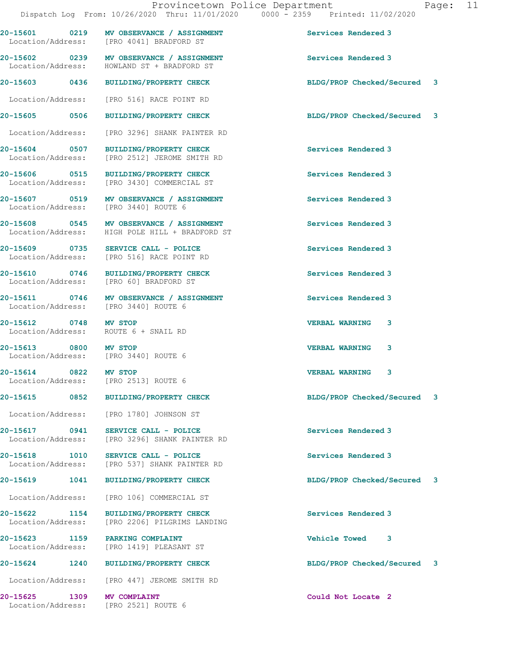20-15603 0436 BUILDING/PROPERTY CHECK BLDG/PROP Checked/Secured 3

20-15601 0219 MV OBSERVANCE / ASSIGNMENT Services Rendered 3

20-15602 0239 MV OBSERVANCE / ASSIGNMENT Services Rendered 3

Location/Address: [PRO 4041] BRADFORD ST

Location/Address: HOWLAND ST + BRADFORD ST

Location/Address: [PRO 516] RACE POINT RD

20-15605 0506 BUILDING/PROPERTY CHECK BLDG/PROP Checked/Secured 3 Location/Address: [PRO 3296] SHANK PAINTER RD 20-15604 0507 BUILDING/PROPERTY CHECK Services Rendered 3 Location/Address: [PRO 2512] JEROME SMITH RD 20-15606 0515 BUILDING/PROPERTY CHECK Services Rendered 3 Location/Address: [PRO 3430] COMMERCIAL ST 20-15607 0519 MV OBSERVANCE / ASSIGNMENT Services Rendered 3<br>
Location/Address: [PRO 3440] ROUTE 6 Location/Address: 20-15608 0545 MV OBSERVANCE / ASSIGNMENT Services Rendered 3 Location/Address: HIGH POLE HILL + BRADFORD ST 20-15609 0735 SERVICE CALL - POLICE Services Rendered 3<br>
Location/Address: [PRO 516] RACE POINT RD [PRO 516] RACE POINT RD 20-15610 0746 BUILDING/PROPERTY CHECK Services Rendered 3 Location/Address: [PRO 60] BRADFORD ST 20-15611 0746 MV OBSERVANCE / ASSIGNMENT Services Rendered 3 Location/Address: [PRO 3440] ROUTE 6 20-15612 0748 MV STOP VERBAL WARNING 3 Location/Address: ROUTE 6 + SNAIL RD 20-15613 0800 MV STOP VERBAL WARNING 3 Location/Address: [PRO 3440] ROUTE 6 20-15614 0822 MV STOP VERBAL WARNING 3 Location/Address: [PRO 2513] ROUTE 6 20-15615 0852 BUILDING/PROPERTY CHECK BLDG/PROP Checked/Secured 3 Location/Address: [PRO 1780] JOHNSON ST 20-15617 0941 SERVICE CALL - POLICE Services Rendered 3 Location/Address: [PRO 3296] SHANK PAINTER RD 20-15618 1010 SERVICE CALL - POLICE (2001) Services Rendered 3<br>
Location/Address: [PRO 537] SHANK PAINTER RD [PRO 537] SHANK PAINTER RD 20-15619 1041 BUILDING/PROPERTY CHECK BLDG/PROP Checked/Secured 3 Location/Address: [PRO 106] COMMERCIAL ST 20-15622 1154 BUILDING/PROPERTY CHECK Services Rendered 3 Location/Address: [PRO 2206] PILGRIMS LANDING 20-15623 1159 PARKING COMPLAINT Vehicle Towed 3 Location/Address: [PRO 1419] PLEASANT ST 20-15624 1240 BUILDING/PROPERTY CHECK BLDG/PROP Checked/Secured 3 Location/Address: [PRO 447] JEROME SMITH RD 20-15625 1309 MV COMPLAINT Could Not Locate 2 Location/Address: [PRO 2521] ROUTE 6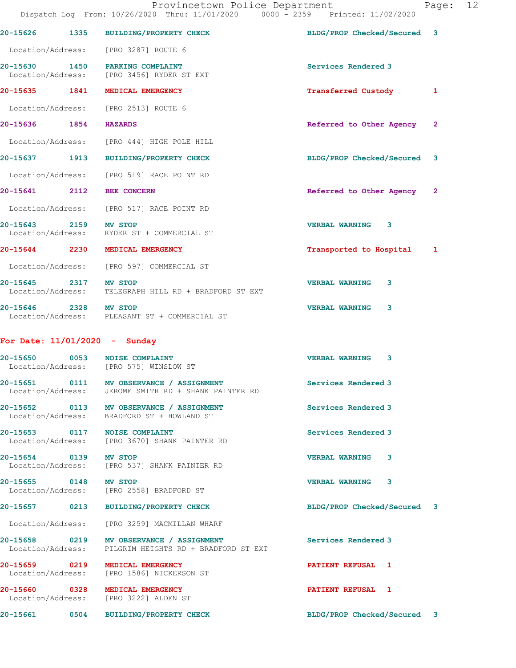|                       | DISPACCH LOG FIOM. IV/Z0/Z0Z0 INIU. II/0I/Z0Z0                                                     | UUUU - ZJJJ<br>FIINLEU. II/UZ/ZUZU |              |
|-----------------------|----------------------------------------------------------------------------------------------------|------------------------------------|--------------|
|                       | 20-15626 1335 BUILDING/PROPERTY CHECK                                                              | BLDG/PROP Checked/Secured          | 3            |
|                       | Location/Address: [PRO 3287] ROUTE 6                                                               |                                    |              |
|                       | 20-15630 1450 PARKING COMPLAINT<br>Location/Address: [PRO 3456] RYDER ST EXT                       | Services Rendered 3                |              |
|                       | 20-15635 1841 MEDICAL EMERGENCY                                                                    | <b>Transferred Custody</b>         | 1            |
|                       | Location/Address: [PRO 2513] ROUTE 6                                                               |                                    |              |
| 20-15636 1854 HAZARDS |                                                                                                    | Referred to Other Agency           | $\mathbf{2}$ |
|                       | Location/Address: [PRO 444] HIGH POLE HILL                                                         |                                    |              |
| 20-15637 1913         | <b>BUILDING/PROPERTY CHECK</b>                                                                     | BLDG/PROP Checked/Secured 3        |              |
|                       | Location/Address: [PRO 519] RACE POINT RD                                                          |                                    |              |
|                       | 20-15641 2112 BEE CONCERN                                                                          | Referred to Other Agency           | $\mathbf{2}$ |
|                       | Location/Address: [PRO 517] RACE POINT RD                                                          |                                    |              |
| 20-15643 2159 MV STOP | Location/Address: RYDER ST + COMMERCIAL ST                                                         | VERBAL WARNING 3                   |              |
|                       | 20-15644 2230 MEDICAL EMERGENCY                                                                    | Transported to Hospital            | 1            |
|                       | Location/Address: [PRO 597] COMMERCIAL ST                                                          |                                    |              |
| 20-15645 2317 MV STOP | Location/Address: TELEGRAPH HILL RD + BRADFORD ST EXT                                              | <b>VERBAL WARNING</b><br>3         |              |
| 20-15646 2328 MV STOP | Location/Address: PLEASANT ST + COMMERCIAL ST                                                      | <b>VERBAL WARNING 3</b>            |              |
|                       | For Date: $11/01/2020$ - Sunday                                                                    |                                    |              |
|                       | 20-15650 0053 NOISE COMPLAINT<br>Location/Address: [PRO 575] WINSLOW ST                            | <b>VERBAL WARNING 3</b>            |              |
|                       | 20-15651 0111 MV OBSERVANCE / ASSIGNMENT<br>Location/Address: JEROME SMITH RD + SHANK PAINTER RD   | Services Rendered 3                |              |
|                       | 20-15652 0113 MV OBSERVANCE / ASSIGNMENT<br>Location/Address: BRADFORD ST + HOWLAND ST             | Services Rendered 3                |              |
|                       | 20-15653 0117 NOISE COMPLAINT<br>Location/Address: [PRO 3670] SHANK PAINTER RD                     | Services Rendered 3                |              |
| 20-15654 0139 MV STOP | Location/Address: [PRO 537] SHANK PAINTER RD                                                       | <b>VERBAL WARNING</b><br>3         |              |
| 20-15655 0148 MV STOP | Location/Address: [PRO 2558] BRADFORD ST                                                           | VERBAL WARNING 3                   |              |
|                       | 20-15657 0213 BUILDING/PROPERTY CHECK                                                              | BLDG/PROP Checked/Secured          | 3            |
|                       | Location/Address: [PRO 3259] MACMILLAN WHARF                                                       |                                    |              |
|                       | 20-15658 0219 MV OBSERVANCE / ASSIGNMENT<br>Location/Address: PILGRIM HEIGHTS RD + BRADFORD ST EXT | Services Rendered 3                |              |
|                       | 20-15659 0219 MEDICAL EMERGENCY<br>Location/Address: [PRO 1586] NICKERSON ST                       | PATIENT REFUSAL 1                  |              |
|                       | 20-15660 0328 MEDICAL EMERGENCY<br>Location/Address: [PRO 3222] ALDEN ST                           | PATIENT REFUSAL 1                  |              |
|                       | 20-15661 0504 BUILDING/PROPERTY CHECK                                                              | BLDG/PROP Checked/Secured 3        |              |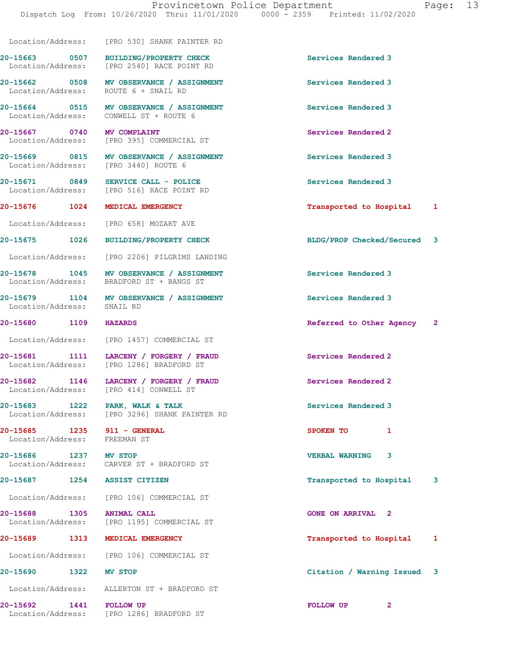| Page: |  |
|-------|--|
|-------|--|

 Location/Address: [PRO 530] SHANK PAINTER RD 20-15663 0507 BUILDING/PROPERTY CHECK Services Rendered 3 Location/Address: [PRO 2540] RACE POINT RD 20-15662 0508 MV OBSERVANCE / ASSIGNMENT Services Rendered 3 Location/Address: ROUTE 6 + SNAIL RD 20-15664 0515 MV OBSERVANCE / ASSIGNMENT Services Rendered 3 Location/Address: CONWELL ST + ROUTE 6 20-15667 0740 MV COMPLAINT Services Rendered 2 Location/Address: [PRO 395] COMMERCIAL ST 20-15669 0815 MV OBSERVANCE / ASSIGNMENT Services Rendered 3 Location/Address: [PRO 3440] ROUTE 6 20-15671 0849 SERVICE CALL - POLICE Services Rendered 3<br>
Location/Address: [PRO 516] RACE POINT RD [PRO 516] RACE POINT RD 20-15676 1024 MEDICAL EMERGENCY Transported to Hospital 1 Location/Address: [PRO 658] MOZART AVE 20-15675 1026 BUILDING/PROPERTY CHECK BLDG/PROP Checked/Secured 3 Location/Address: [PRO 2206] PILGRIMS LANDING 20-15678 1045 MV OBSERVANCE / ASSIGNMENT Services Rendered 3 Location/Address: BRADFORD ST + BANGS ST 20-15679 1104 MV OBSERVANCE / ASSIGNMENT Services Rendered 3 Location/Address: SNAIL RD 20-15680 1109 HAZARDS Referred to Other Agency 2 Location/Address: [PRO 1457] COMMERCIAL ST 20-15681 1111 LARCENY / FORGERY / FRAUD Services Rendered 2 Location/Address: [PRO 1286] BRADFORD ST 20-15682 1146 LARCENY / FORGERY / FRAUD Services Rendered 2 Location/Address: [PRO 414] CONWELL ST 20-15683 1222 PARK, WALK & TALK Services Rendered 3 Location/Address: [PRO 3296] SHANK PAINTER RD 20-15685 1235 911 - GENERAL SPOKEN TO 1 Location/Address: FREEMAN ST 20-15686 1237 MV STOP VERBAL WARNING 3 Location/Address: CARVER ST + BRADFORD ST 20-15687 1254 ASSIST CITIZEN Transported to Hospital 3 Location/Address: [PRO 106] COMMERCIAL ST 20-15688 1305 ANIMAL CALL GONE ON ARRIVAL 2 Location/Address: [PRO 1195] COMMERCIAL ST 20-15689 1313 MEDICAL EMERGENCY Transported to Hospital 1 Location/Address: [PRO 106] COMMERCIAL ST

20-15690 1322 MV STOP Citation / Warning Issued 3

Location/Address: ALLERTON ST + BRADFORD ST

20-15692 1441 FOLLOW UP FOLLOW UP 2 Location/Address: [PRO 1286] BRADFORD ST